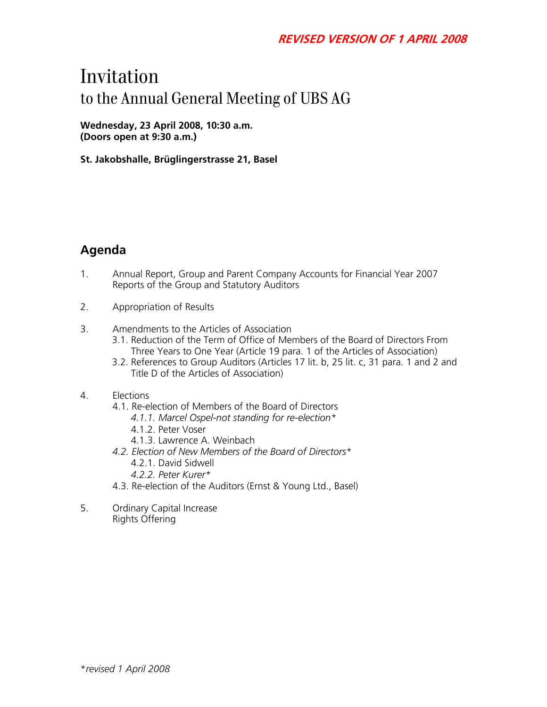# Invitation to the Annual General Meeting of UBS AG

**Wednesday, 23 April 2008, 10:30 a.m. (Doors open at 9:30 a.m.)** 

**St. Jakobshalle, Brüglingerstrasse 21, Basel** 

# **Agenda**

- 1. Annual Report, Group and Parent Company Accounts for Financial Year 2007 Reports of the Group and Statutory Auditors
- 2. Appropriation of Results
- 3. Amendments to the Articles of Association
	- 3.1. Reduction of the Term of Office of Members of the Board of Directors From Three Years to One Year (Article 19 para. 1 of the Articles of Association)
	- 3.2. References to Group Auditors (Articles 17 lit. b, 25 lit. c, 31 para. 1 and 2 and Title D of the Articles of Association)
- 4. Elections
	- 4.1. Re-election of Members of the Board of Directors
		- *4.1.1. Marcel Ospel-not standing for re-election\**
		- 4.1.2. Peter Voser
		- 4.1.3. Lawrence A. Weinbach
	- *4.2. Election of New Members of the Board of Directors\**  4.2.1. David Sidwell
		- *4.2.2. Peter Kurer\**
	- 4.3. Re-election of the Auditors (Ernst & Young Ltd., Basel)
- 5. Ordinary Capital Increase Rights Offering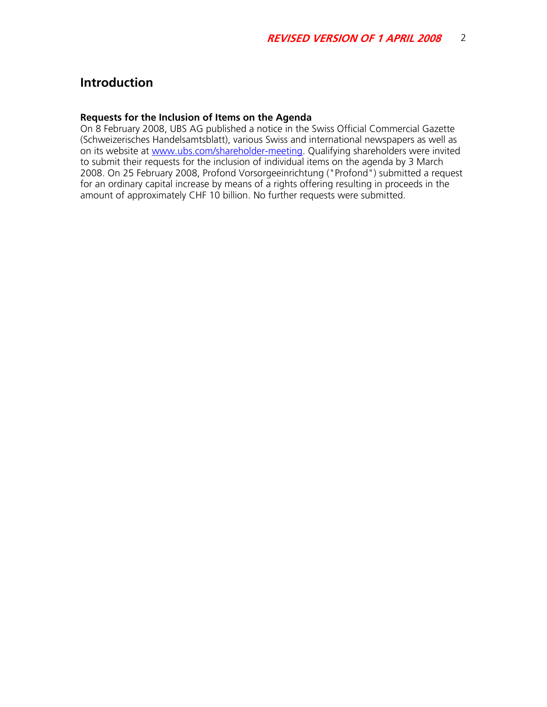# **Introduction**

#### **Requests for the Inclusion of Items on the Agenda**

On 8 February 2008, UBS AG published a notice in the Swiss Official Commercial Gazette (Schweizerisches Handelsamtsblatt), various Swiss and international newspapers as well as on its website at www.ubs.com/shareholder-meeting. Qualifying shareholders were invited to submit their requests for the inclusion of individual items on the agenda by 3 March 2008. On 25 February 2008, Profond Vorsorgeeinrichtung ("Profond") submitted a request for an ordinary capital increase by means of a rights offering resulting in proceeds in the amount of approximately CHF 10 billion. No further requests were submitted.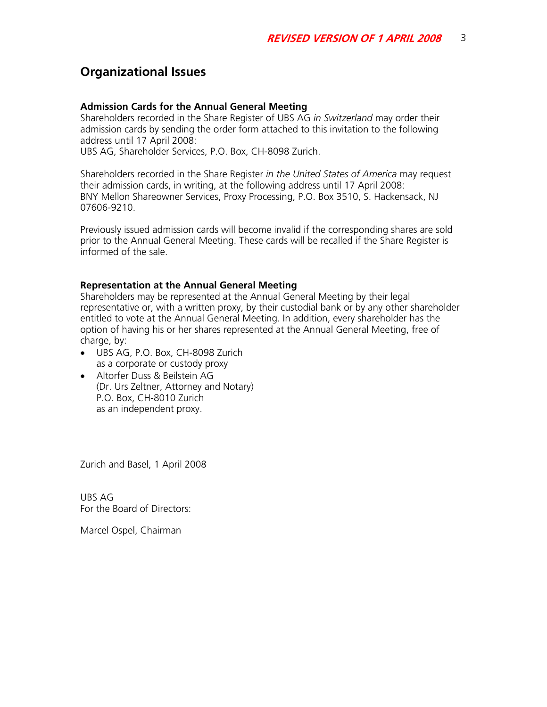# **Organizational Issues**

#### **Admission Cards for the Annual General Meeting**

Shareholders recorded in the Share Register of UBS AG *in Switzerland* may order their admission cards by sending the order form attached to this invitation to the following address until 17 April 2008:

UBS AG, Shareholder Services, P.O. Box, CH-8098 Zurich.

Shareholders recorded in the Share Register *in the United States of America* may request their admission cards, in writing, at the following address until 17 April 2008: BNY Mellon Shareowner Services, Proxy Processing, P.O. Box 3510, S. Hackensack, NJ 07606-9210.

Previously issued admission cards will become invalid if the corresponding shares are sold prior to the Annual General Meeting. These cards will be recalled if the Share Register is informed of the sale.

#### **Representation at the Annual General Meeting**

Shareholders may be represented at the Annual General Meeting by their legal representative or, with a written proxy, by their custodial bank or by any other shareholder entitled to vote at the Annual General Meeting. In addition, every shareholder has the option of having his or her shares represented at the Annual General Meeting, free of charge, by:

- UBS AG, P.O. Box, CH-8098 Zurich as a corporate or custody proxy
- Altorfer Duss & Beilstein AG (Dr. Urs Zeltner, Attorney and Notary) P.O. Box, CH-8010 Zurich as an independent proxy.

Zurich and Basel, 1 April 2008

UBS AG For the Board of Directors:

Marcel Ospel, Chairman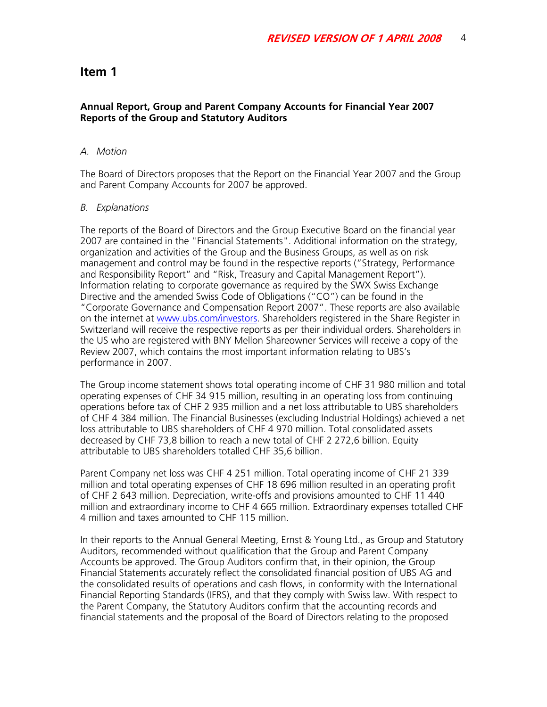#### **Annual Report, Group and Parent Company Accounts for Financial Year 2007 Reports of the Group and Statutory Auditors**

#### *A. Motion*

The Board of Directors proposes that the Report on the Financial Year 2007 and the Group and Parent Company Accounts for 2007 be approved.

#### *B. Explanations*

The reports of the Board of Directors and the Group Executive Board on the financial year 2007 are contained in the "Financial Statements". Additional information on the strategy, organization and activities of the Group and the Business Groups, as well as on risk management and control may be found in the respective reports ("Strategy, Performance and Responsibility Report" and "Risk, Treasury and Capital Management Report"). Information relating to corporate governance as required by the SWX Swiss Exchange Directive and the amended Swiss Code of Obligations ("CO") can be found in the "Corporate Governance and Compensation Report 2007". These reports are also available on the internet at www.ubs.com/investors. Shareholders registered in the Share Register in Switzerland will receive the respective reports as per their individual orders. Shareholders in the US who are registered with BNY Mellon Shareowner Services will receive a copy of the Review 2007, which contains the most important information relating to UBS's performance in 2007.

The Group income statement shows total operating income of CHF 31 980 million and total operating expenses of CHF 34 915 million, resulting in an operating loss from continuing operations before tax of CHF 2 935 million and a net loss attributable to UBS shareholders of CHF 4 384 million. The Financial Businesses (excluding Industrial Holdings) achieved a net loss attributable to UBS shareholders of CHF 4 970 million. Total consolidated assets decreased by CHF 73,8 billion to reach a new total of CHF 2 272,6 billion. Equity attributable to UBS shareholders totalled CHF 35,6 billion.

Parent Company net loss was CHF 4 251 million. Total operating income of CHF 21 339 million and total operating expenses of CHF 18 696 million resulted in an operating profit of CHF 2 643 million. Depreciation, write-offs and provisions amounted to CHF 11 440 million and extraordinary income to CHF 4 665 million. Extraordinary expenses totalled CHF 4 million and taxes amounted to CHF 115 million.

In their reports to the Annual General Meeting, Ernst & Young Ltd., as Group and Statutory Auditors, recommended without qualification that the Group and Parent Company Accounts be approved. The Group Auditors confirm that, in their opinion, the Group Financial Statements accurately reflect the consolidated financial position of UBS AG and the consolidated results of operations and cash flows, in conformity with the International Financial Reporting Standards (IFRS), and that they comply with Swiss law. With respect to the Parent Company, the Statutory Auditors confirm that the accounting records and financial statements and the proposal of the Board of Directors relating to the proposed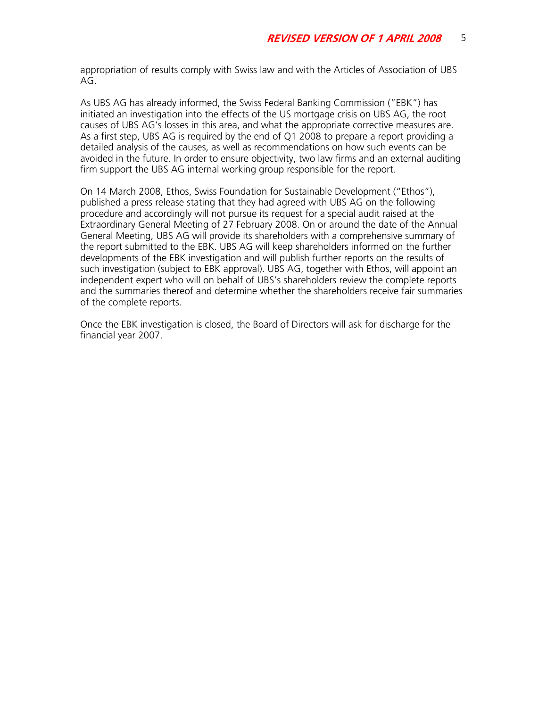appropriation of results comply with Swiss law and with the Articles of Association of UBS AG.

As UBS AG has already informed, the Swiss Federal Banking Commission ("EBK") has initiated an investigation into the effects of the US mortgage crisis on UBS AG, the root causes of UBS AG's losses in this area, and what the appropriate corrective measures are. As a first step, UBS AG is required by the end of Q1 2008 to prepare a report providing a detailed analysis of the causes, as well as recommendations on how such events can be avoided in the future. In order to ensure objectivity, two law firms and an external auditing firm support the UBS AG internal working group responsible for the report.

On 14 March 2008, Ethos, Swiss Foundation for Sustainable Development ("Ethos"), published a press release stating that they had agreed with UBS AG on the following procedure and accordingly will not pursue its request for a special audit raised at the Extraordinary General Meeting of 27 February 2008. On or around the date of the Annual General Meeting, UBS AG will provide its shareholders with a comprehensive summary of the report submitted to the EBK. UBS AG will keep shareholders informed on the further developments of the EBK investigation and will publish further reports on the results of such investigation (subject to EBK approval). UBS AG, together with Ethos, will appoint an independent expert who will on behalf of UBS's shareholders review the complete reports and the summaries thereof and determine whether the shareholders receive fair summaries of the complete reports.

Once the EBK investigation is closed, the Board of Directors will ask for discharge for the financial year 2007.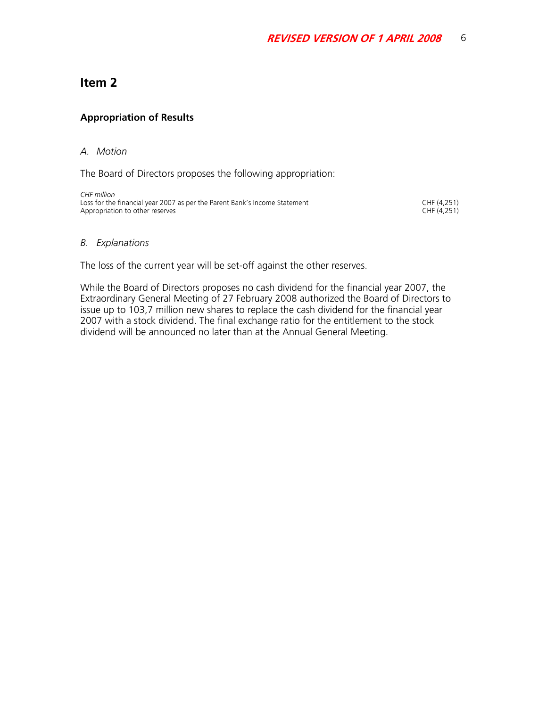## **Appropriation of Results**

#### *A. Motion*

The Board of Directors proposes the following appropriation:

*CHF million*  Loss for the financial year 2007 as per the Parent Bank's Income Statement CHF (4,251) CHF (4,251) CHF (4,251) Appropriation to other reserves

#### *B. Explanations*

The loss of the current year will be set-off against the other reserves.

While the Board of Directors proposes no cash dividend for the financial year 2007, the Extraordinary General Meeting of 27 February 2008 authorized the Board of Directors to issue up to 103,7 million new shares to replace the cash dividend for the financial year 2007 with a stock dividend. The final exchange ratio for the entitlement to the stock dividend will be announced no later than at the Annual General Meeting.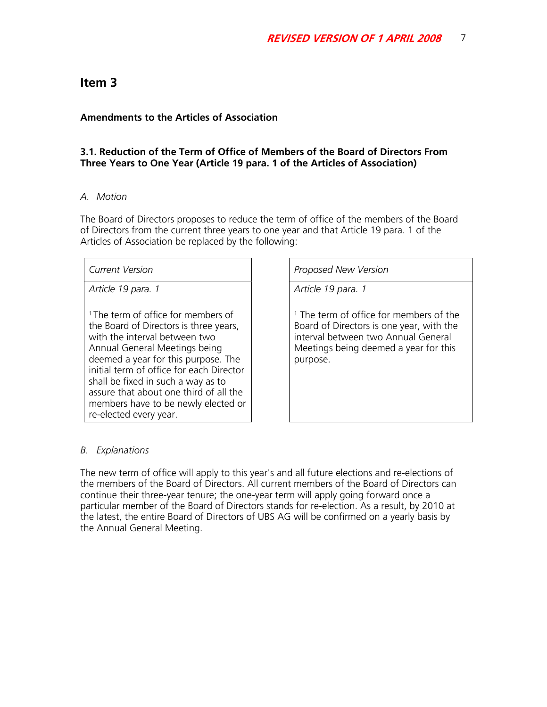#### **Amendments to the Articles of Association**

#### **3.1. Reduction of the Term of Office of Members of the Board of Directors From Three Years to One Year (Article 19 para. 1 of the Articles of Association)**

#### *A. Motion*

The Board of Directors proposes to reduce the term of office of the members of the Board of Directors from the current three years to one year and that Article 19 para. 1 of the Articles of Association be replaced by the following:

*Current Version* Proposed New Version

*Article 19 para. 1* 

<sup>1</sup> The term of office for members of the Board of Directors is three years, with the interval between two Annual General Meetings being deemed a year for this purpose. The initial term of office for each Director shall be fixed in such a way as to assure that about one third of all the members have to be newly elected or re-elected every year.

*Article 19 para. 1* 

<sup>1</sup> The term of office for members of the Board of Directors is one year, with the interval between two Annual General Meetings being deemed a year for this purpose.

#### *B. Explanations*

The new term of office will apply to this year's and all future elections and re-elections of the members of the Board of Directors. All current members of the Board of Directors can continue their three-year tenure; the one-year term will apply going forward once a particular member of the Board of Directors stands for re-election. As a result, by 2010 at the latest, the entire Board of Directors of UBS AG will be confirmed on a yearly basis by the Annual General Meeting.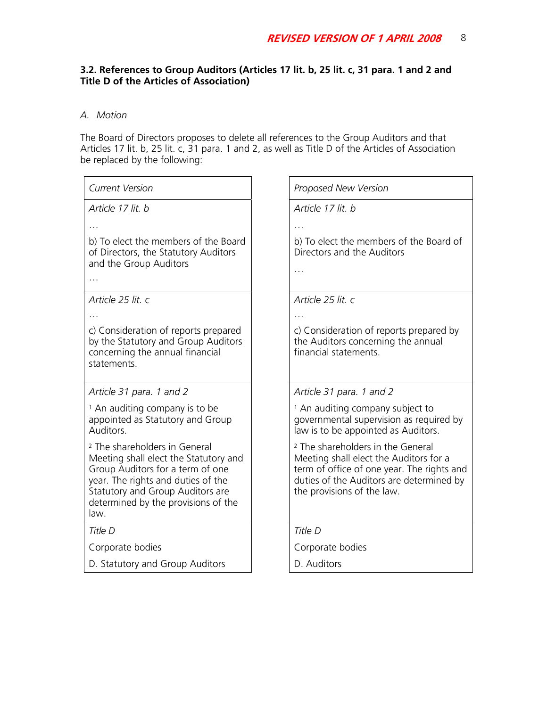## **3.2. References to Group Auditors (Articles 17 lit. b, 25 lit. c, 31 para. 1 and 2 and Title D of the Articles of Association)**

## *A. Motion*

The Board of Directors proposes to delete all references to the Group Auditors and that Articles 17 lit. b, 25 lit. c, 31 para. 1 and 2, as well as Title D of the Articles of Association be replaced by the following:

| <b>Current Version</b>                                                                                                                                                                                                                         | Proposed New Version                                                                                                                                                                                           |
|------------------------------------------------------------------------------------------------------------------------------------------------------------------------------------------------------------------------------------------------|----------------------------------------------------------------------------------------------------------------------------------------------------------------------------------------------------------------|
| Article 17 lit. b                                                                                                                                                                                                                              | Article 17 lit. b                                                                                                                                                                                              |
|                                                                                                                                                                                                                                                |                                                                                                                                                                                                                |
| b) To elect the members of the Board<br>of Directors, the Statutory Auditors<br>and the Group Auditors                                                                                                                                         | b) To elect the members of the Board of<br>Directors and the Auditors<br>$\cdots$                                                                                                                              |
|                                                                                                                                                                                                                                                |                                                                                                                                                                                                                |
| Article 25 lit. c                                                                                                                                                                                                                              | Article 25 lit. c                                                                                                                                                                                              |
|                                                                                                                                                                                                                                                |                                                                                                                                                                                                                |
| c) Consideration of reports prepared<br>by the Statutory and Group Auditors<br>concerning the annual financial<br>statements.                                                                                                                  | c) Consideration of reports prepared by<br>the Auditors concerning the annual<br>financial statements.                                                                                                         |
| Article 31 para. 1 and 2                                                                                                                                                                                                                       | Article 31 para. 1 and 2                                                                                                                                                                                       |
| <sup>1</sup> An auditing company is to be<br>appointed as Statutory and Group<br>Auditors.                                                                                                                                                     | <sup>1</sup> An auditing company subject to<br>governmental supervision as required by<br>law is to be appointed as Auditors.                                                                                  |
| <sup>2</sup> The shareholders in General<br>Meeting shall elect the Statutory and<br>Group Auditors for a term of one<br>year. The rights and duties of the<br>Statutory and Group Auditors are<br>determined by the provisions of the<br>law. | <sup>2</sup> The shareholders in the General<br>Meeting shall elect the Auditors for a<br>term of office of one year. The rights and<br>duties of the Auditors are determined by<br>the provisions of the law. |
| Title D                                                                                                                                                                                                                                        | Title D                                                                                                                                                                                                        |
| Corporate bodies                                                                                                                                                                                                                               | Corporate bodies                                                                                                                                                                                               |
| D. Statutory and Group Auditors                                                                                                                                                                                                                | D. Auditors                                                                                                                                                                                                    |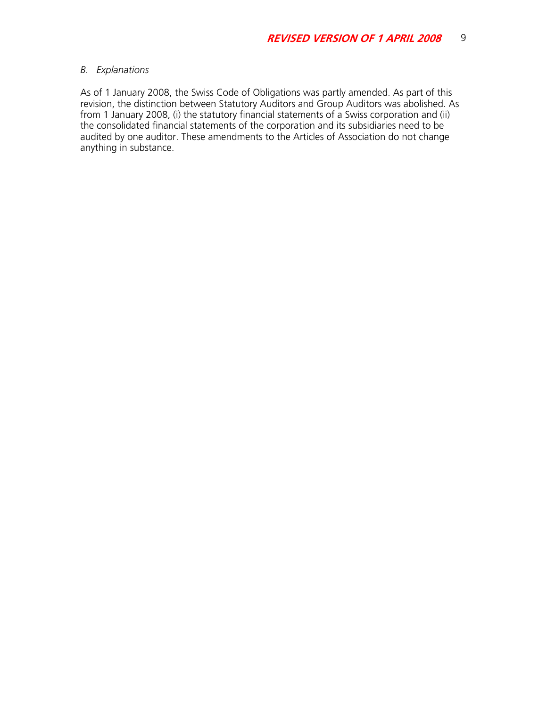#### *B. Explanations*

As of 1 January 2008, the Swiss Code of Obligations was partly amended. As part of this revision, the distinction between Statutory Auditors and Group Auditors was abolished. As from 1 January 2008, (i) the statutory financial statements of a Swiss corporation and (ii) the consolidated financial statements of the corporation and its subsidiaries need to be audited by one auditor. These amendments to the Articles of Association do not change anything in substance.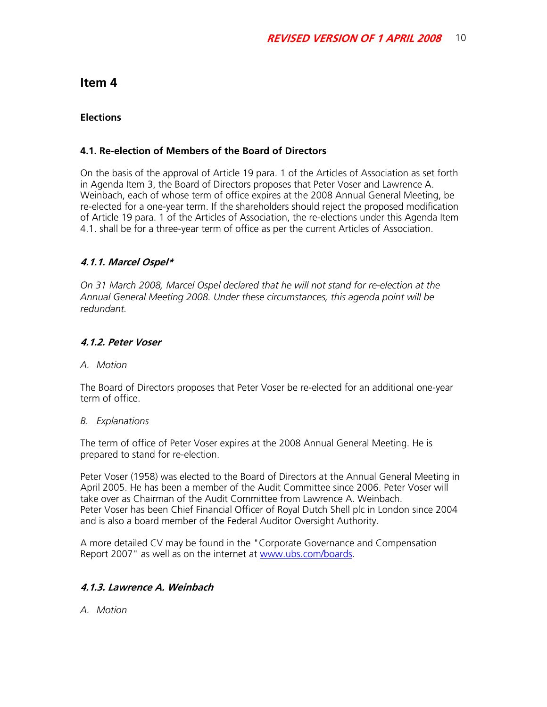## **Elections**

## **4.1. Re-election of Members of the Board of Directors**

On the basis of the approval of Article 19 para. 1 of the Articles of Association as set forth in Agenda Item 3, the Board of Directors proposes that Peter Voser and Lawrence A. Weinbach, each of whose term of office expires at the 2008 Annual General Meeting, be re-elected for a one-year term. If the shareholders should reject the proposed modification of Article 19 para. 1 of the Articles of Association, the re-elections under this Agenda Item 4.1. shall be for a three-year term of office as per the current Articles of Association.

## **4.1.1. Marcel Ospel\***

*On 31 March 2008, Marcel Ospel declared that he will not stand for re-election at the Annual General Meeting 2008. Under these circumstances, this agenda point will be redundant.* 

#### **4.1.2. Peter Voser**

*A. Motion* 

The Board of Directors proposes that Peter Voser be re-elected for an additional one-year term of office.

#### *B. Explanations*

The term of office of Peter Voser expires at the 2008 Annual General Meeting. He is prepared to stand for re-election.

Peter Voser (1958) was elected to the Board of Directors at the Annual General Meeting in April 2005. He has been a member of the Audit Committee since 2006. Peter Voser will take over as Chairman of the Audit Committee from Lawrence A. Weinbach. Peter Voser has been Chief Financial Officer of Royal Dutch Shell plc in London since 2004 and is also a board member of the Federal Auditor Oversight Authority.

A more detailed CV may be found in the "Corporate Governance and Compensation Report 2007" as well as on the internet at www.ubs.com/boards.

## **4.1.3. Lawrence A. Weinbach**

*A. Motion*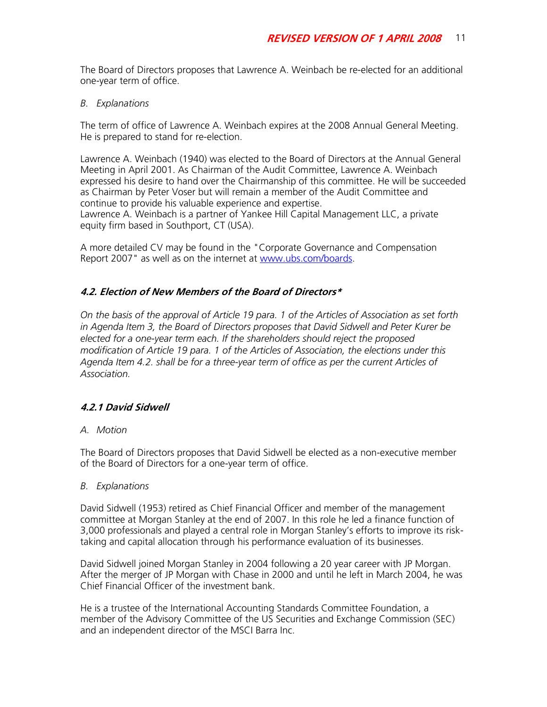The Board of Directors proposes that Lawrence A. Weinbach be re-elected for an additional one-year term of office.

#### *B. Explanations*

The term of office of Lawrence A. Weinbach expires at the 2008 Annual General Meeting. He is prepared to stand for re-election.

Lawrence A. Weinbach (1940) was elected to the Board of Directors at the Annual General Meeting in April 2001. As Chairman of the Audit Committee, Lawrence A. Weinbach expressed his desire to hand over the Chairmanship of this committee. He will be succeeded as Chairman by Peter Voser but will remain a member of the Audit Committee and continue to provide his valuable experience and expertise. Lawrence A. Weinbach is a partner of Yankee Hill Capital Management LLC, a private equity firm based in Southport, CT (USA).

A more detailed CV may be found in the "Corporate Governance and Compensation Report 2007" as well as on the internet at www.ubs.com/boards.

## **4.2. Election of New Members of the Board of Directors\***

*On the basis of the approval of Article 19 para. 1 of the Articles of Association as set forth in Agenda Item 3, the Board of Directors proposes that David Sidwell and Peter Kurer be elected for a one-year term each. If the shareholders should reject the proposed modification of Article 19 para. 1 of the Articles of Association, the elections under this Agenda Item 4.2. shall be for a three-year term of office as per the current Articles of Association.* 

## **4.2.1 David Sidwell**

## *A. Motion*

The Board of Directors proposes that David Sidwell be elected as a non-executive member of the Board of Directors for a one-year term of office.

#### *B. Explanations*

David Sidwell (1953) retired as Chief Financial Officer and member of the management committee at Morgan Stanley at the end of 2007. In this role he led a finance function of 3,000 professionals and played a central role in Morgan Stanley's efforts to improve its risktaking and capital allocation through his performance evaluation of its businesses.

David Sidwell joined Morgan Stanley in 2004 following a 20 year career with JP Morgan. After the merger of JP Morgan with Chase in 2000 and until he left in March 2004, he was Chief Financial Officer of the investment bank.

He is a trustee of the International Accounting Standards Committee Foundation, a member of the Advisory Committee of the US Securities and Exchange Commission (SEC) and an independent director of the MSCI Barra Inc.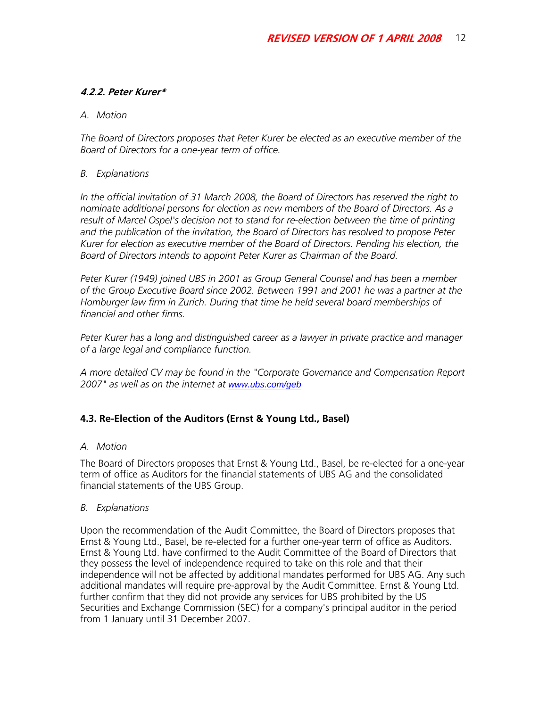## **4.2.2. Peter Kurer\***

## *A. Motion*

*The Board of Directors proposes that Peter Kurer be elected as an executive member of the Board of Directors for a one-year term of office.* 

#### *B. Explanations*

*In the official invitation of 31 March 2008, the Board of Directors has reserved the right to nominate additional persons for election as new members of the Board of Directors. As a*  result of Marcel Ospel's decision not to stand for re-election between the time of printing *and the publication of the invitation, the Board of Directors has resolved to propose Peter Kurer for election as executive member of the Board of Directors. Pending his election, the Board of Directors intends to appoint Peter Kurer as Chairman of the Board.* 

*Peter Kurer (1949) joined UBS in 2001 as Group General Counsel and has been a member of the Group Executive Board since 2002. Between 1991 and 2001 he was a partner at the Homburger law firm in Zurich. During that time he held several board memberships of financial and other firms.* 

*Peter Kurer has a long and distinguished career as a lawyer in private practice and manager of a large legal and compliance function.* 

*A more detailed CV may be found in the "Corporate Governance and Compensation Report 2007" as well as on the internet at www.ubs.com/geb*

## **4.3. Re-Election of the Auditors (Ernst & Young Ltd., Basel)**

## *A. Motion*

The Board of Directors proposes that Ernst & Young Ltd., Basel, be re-elected for a one-year term of office as Auditors for the financial statements of UBS AG and the consolidated financial statements of the UBS Group.

#### *B. Explanations*

Upon the recommendation of the Audit Committee, the Board of Directors proposes that Ernst & Young Ltd., Basel, be re-elected for a further one-year term of office as Auditors. Ernst & Young Ltd. have confirmed to the Audit Committee of the Board of Directors that they possess the level of independence required to take on this role and that their independence will not be affected by additional mandates performed for UBS AG. Any such additional mandates will require pre-approval by the Audit Committee. Ernst & Young Ltd. further confirm that they did not provide any services for UBS prohibited by the US Securities and Exchange Commission (SEC) for a company's principal auditor in the period from 1 January until 31 December 2007.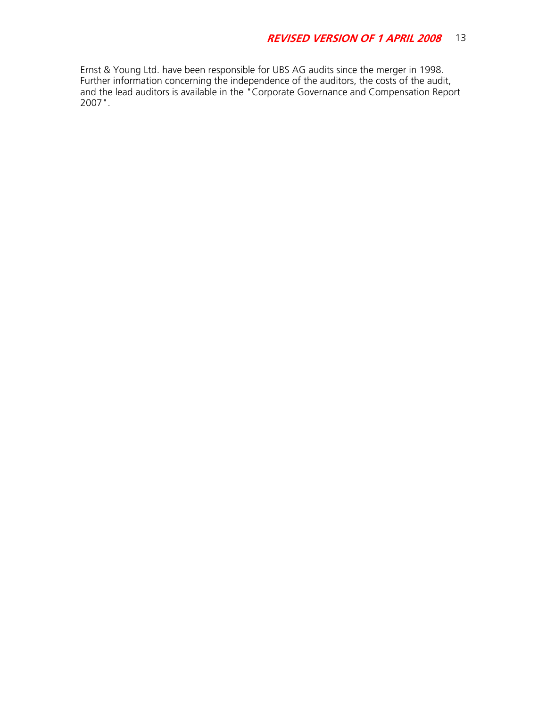Ernst & Young Ltd. have been responsible for UBS AG audits since the merger in 1998. Further information concerning the independence of the auditors, the costs of the audit, and the lead auditors is available in the "Corporate Governance and Compensation Report 2007".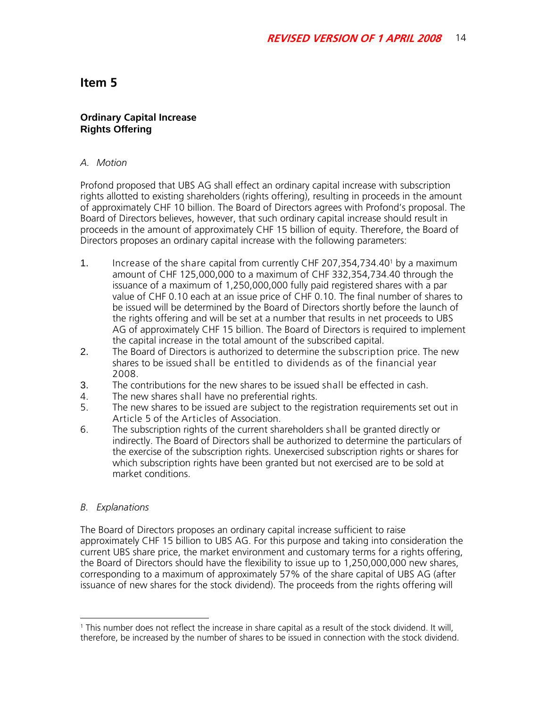#### **Ordinary Capital Increase Rights Offering**

#### *A. Motion*

Profond proposed that UBS AG shall effect an ordinary capital increase with subscription rights allotted to existing shareholders (rights offering), resulting in proceeds in the amount of approximately CHF 10 billion. The Board of Directors agrees with Profond's proposal. The Board of Directors believes, however, that such ordinary capital increase should result in proceeds in the amount of approximately CHF 15 billion of equity. Therefore, the Board of Directors proposes an ordinary capital increase with the following parameters:

- 1. Increase of the share capital from currently CHF 207,354,734.401 by a maximum amount of CHF 125,000,000 to a maximum of CHF 332,354,734.40 through the issuance of a maximum of 1,250,000,000 fully paid registered shares with a par value of CHF 0.10 each at an issue price of CHF 0.10. The final number of shares to be issued will be determined by the Board of Directors shortly before the launch of the rights offering and will be set at a number that results in net proceeds to UBS AG of approximately CHF 15 billion. The Board of Directors is required to implement the capital increase in the total amount of the subscribed capital.
- 2. The Board of Directors is authorized to determine the subscription price. The new shares to be issued shall be entitled to dividends as of the financial year 2008.
- 3. The contributions for the new shares to be issued shall be effected in cash.
- 4. The new shares shall have no preferential rights.<br>5. The new shares to be issued are subiect to the re
- The new shares to be issued are subject to the registration requirements set out in Article 5 of the Articles of Association.
- 6. The subscription rights of the current shareholders shall be granted directly or indirectly. The Board of Directors shall be authorized to determine the particulars of the exercise of the subscription rights. Unexercised subscription rights or shares for which subscription rights have been granted but not exercised are to be sold at market conditions.

## *B. Explanations*

The Board of Directors proposes an ordinary capital increase sufficient to raise approximately CHF 15 billion to UBS AG. For this purpose and taking into consideration the current UBS share price, the market environment and customary terms for a rights offering, the Board of Directors should have the flexibility to issue up to 1,250,000,000 new shares, corresponding to a maximum of approximately 57% of the share capital of UBS AG (after issuance of new shares for the stock dividend). The proceeds from the rights offering will

 $\overline{a}$ 1 This number does not reflect the increase in share capital as a result of the stock dividend. It will, therefore, be increased by the number of shares to be issued in connection with the stock dividend.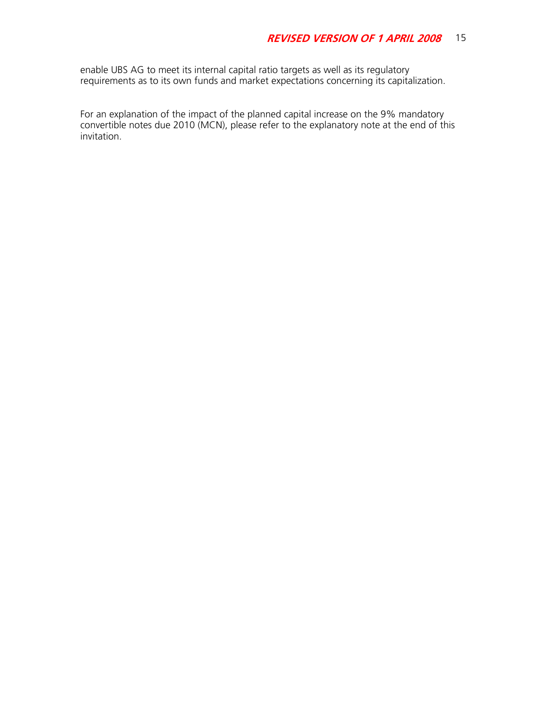enable UBS AG to meet its internal capital ratio targets as well as its regulatory requirements as to its own funds and market expectations concerning its capitalization.

For an explanation of the impact of the planned capital increase on the 9% mandatory convertible notes due 2010 (MCN), please refer to the explanatory note at the end of this invitation.